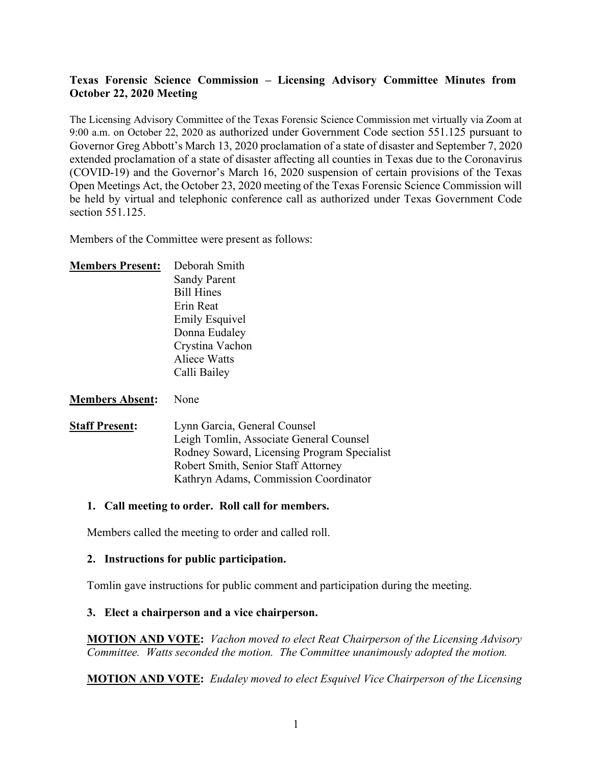# **Texas Forensic Science Commission – Licensing Advisory Committee Minutes from October 22, 2020 Meeting**

The Licensing Advisory Committee of the Texas Forensic Science Commission met virtually via Zoom at 9:00 a.m. on October 22, 2020 as authorized under Government Code section 551.125 pursuant to Governor Greg Abbott's March 13, 2020 proclamation of a state of disaster and September 7, 2020 extended proclamation of a state of disaster affecting all counties in Texas due to the Coronavirus (COVID-19) and the Governor's March 16, 2020 suspension of certain provisions of the Texas Open Meetings Act, the October 23, 2020 meeting of the Texas Forensic Science Commission will be held by virtual and telephonic conference call as authorized under Texas Government Code section 551.125.

Members of the Committee were present as follows:

| <b>Members Present:</b> | Deborah Smith         |
|-------------------------|-----------------------|
|                         | <b>Sandy Parent</b>   |
|                         | <b>Bill Hines</b>     |
|                         | Erin Reat             |
|                         | <b>Emily Esquivel</b> |
|                         | Donna Eudaley         |
|                         | Crystina Vachon       |
|                         | <b>Aliece Watts</b>   |
|                         | Calli Bailey          |
|                         |                       |

### **Members Absent:** None

**Staff Present:** Lynn Garcia, General Counsel Leigh Tomlin, Associate General Counsel Rodney Soward, Licensing Program Specialist Robert Smith, Senior Staff Attorney Kathryn Adams, Commission Coordinator

### **1. Call meeting to order. Roll call for members.**

Members called the meeting to order and called roll.

### **2. Instructions for public participation.**

Tomlin gave instructions for public comment and participation during the meeting.

### **3. Elect a chairperson and a vice chairperson.**

**MOTION AND VOTE:** *Vachon moved to elect Reat Chairperson of the Licensing Advisory Committee. Watts seconded the motion. The Committee unanimously adopted the motion.* 

**MOTION AND VOTE:** *Eudaley moved to elect Esquivel Vice Chairperson of the Licensing*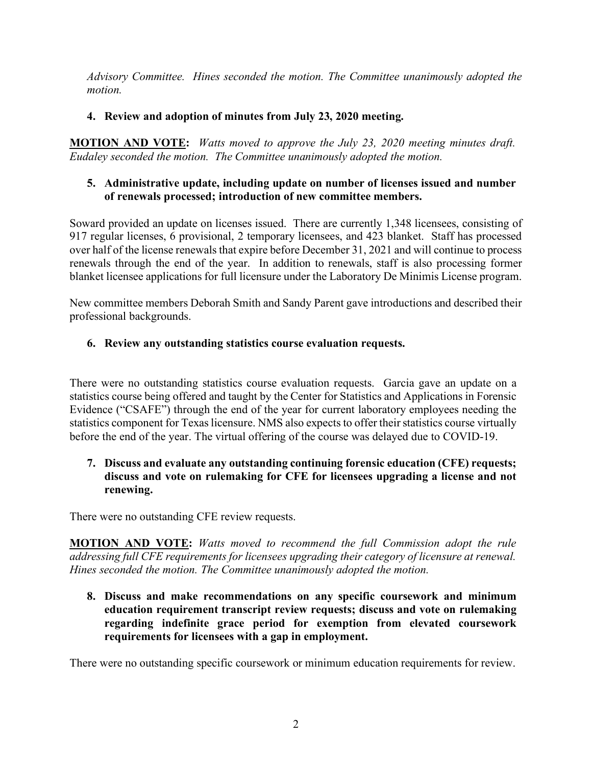*Advisory Committee. Hines seconded the motion. The Committee unanimously adopted the motion.* 

# **4. Review and adoption of minutes from July 23, 2020 meeting.**

**MOTION AND VOTE:** *Watts moved to approve the July 23, 2020 meeting minutes draft. Eudaley seconded the motion. The Committee unanimously adopted the motion.*

# **5. Administrative update, including update on number of licenses issued and number of renewals processed; introduction of new committee members.**

Soward provided an update on licenses issued. There are currently 1,348 licensees, consisting of 917 regular licenses, 6 provisional, 2 temporary licensees, and 423 blanket. Staff has processed over half of the license renewals that expire before December 31, 2021 and will continue to process renewals through the end of the year. In addition to renewals, staff is also processing former blanket licensee applications for full licensure under the Laboratory De Minimis License program.

New committee members Deborah Smith and Sandy Parent gave introductions and described their professional backgrounds.

# **6. Review any outstanding statistics course evaluation requests.**

There were no outstanding statistics course evaluation requests. Garcia gave an update on a statistics course being offered and taught by the Center for Statistics and Applications in Forensic Evidence ("CSAFE") through the end of the year for current laboratory employees needing the statistics component for Texas licensure. NMS also expects to offer their statistics course virtually before the end of the year. The virtual offering of the course was delayed due to COVID-19.

# **7. Discuss and evaluate any outstanding continuing forensic education (CFE) requests; discuss and vote on rulemaking for CFE for licensees upgrading a license and not renewing.**

There were no outstanding CFE review requests.

**MOTION AND VOTE:** *Watts moved to recommend the full Commission adopt the rule addressing full CFE requirements for licensees upgrading their category of licensure at renewal. Hines seconded the motion. The Committee unanimously adopted the motion.* 

**8. Discuss and make recommendations on any specific coursework and minimum education requirement transcript review requests; discuss and vote on rulemaking regarding indefinite grace period for exemption from elevated coursework requirements for licensees with a gap in employment.** 

There were no outstanding specific coursework or minimum education requirements for review.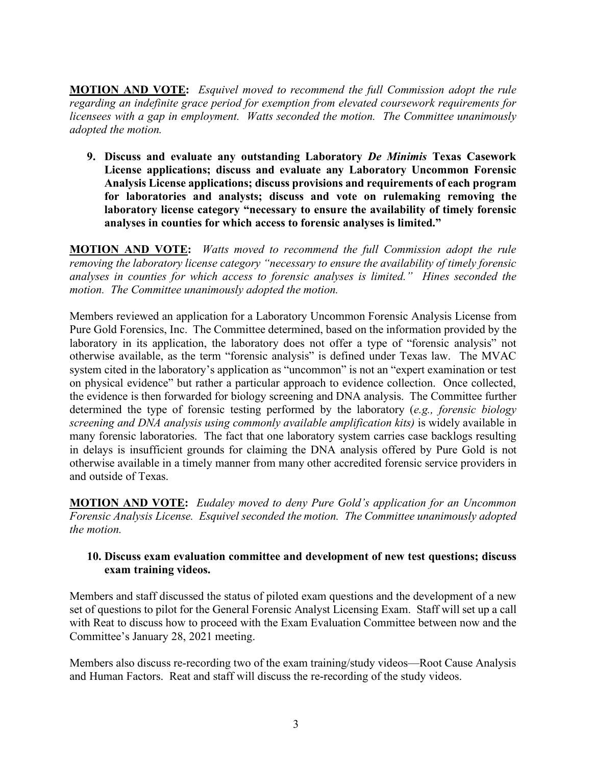**MOTION AND VOTE:** *Esquivel moved to recommend the full Commission adopt the rule regarding an indefinite grace period for exemption from elevated coursework requirements for licensees with a gap in employment. Watts seconded the motion. The Committee unanimously adopted the motion.* 

**9. Discuss and evaluate any outstanding Laboratory** *De Minimis* **Texas Casework License applications; discuss and evaluate any Laboratory Uncommon Forensic Analysis License applications; discuss provisions and requirements of each program for laboratories and analysts; discuss and vote on rulemaking removing the laboratory license category "necessary to ensure the availability of timely forensic analyses in counties for which access to forensic analyses is limited."**

**MOTION AND VOTE:** *Watts moved to recommend the full Commission adopt the rule removing the laboratory license category "necessary to ensure the availability of timely forensic analyses in counties for which access to forensic analyses is limited." Hines seconded the motion. The Committee unanimously adopted the motion.* 

Members reviewed an application for a Laboratory Uncommon Forensic Analysis License from Pure Gold Forensics, Inc. The Committee determined, based on the information provided by the laboratory in its application, the laboratory does not offer a type of "forensic analysis" not otherwise available, as the term "forensic analysis" is defined under Texas law. The MVAC system cited in the laboratory's application as "uncommon" is not an "expert examination or test on physical evidence" but rather a particular approach to evidence collection. Once collected, the evidence is then forwarded for biology screening and DNA analysis. The Committee further determined the type of forensic testing performed by the laboratory (*e.g., forensic biology screening and DNA analysis using commonly available amplification kits)* is widely available in many forensic laboratories. The fact that one laboratory system carries case backlogs resulting in delays is insufficient grounds for claiming the DNA analysis offered by Pure Gold is not otherwise available in a timely manner from many other accredited forensic service providers in and outside of Texas.

**MOTION AND VOTE:** *Eudaley moved to deny Pure Gold's application for an Uncommon Forensic Analysis License. Esquivel seconded the motion. The Committee unanimously adopted the motion.* 

### **10. Discuss exam evaluation committee and development of new test questions; discuss exam training videos.**

Members and staff discussed the status of piloted exam questions and the development of a new set of questions to pilot for the General Forensic Analyst Licensing Exam. Staff will set up a call with Reat to discuss how to proceed with the Exam Evaluation Committee between now and the Committee's January 28, 2021 meeting.

Members also discuss re-recording two of the exam training/study videos—Root Cause Analysis and Human Factors. Reat and staff will discuss the re-recording of the study videos.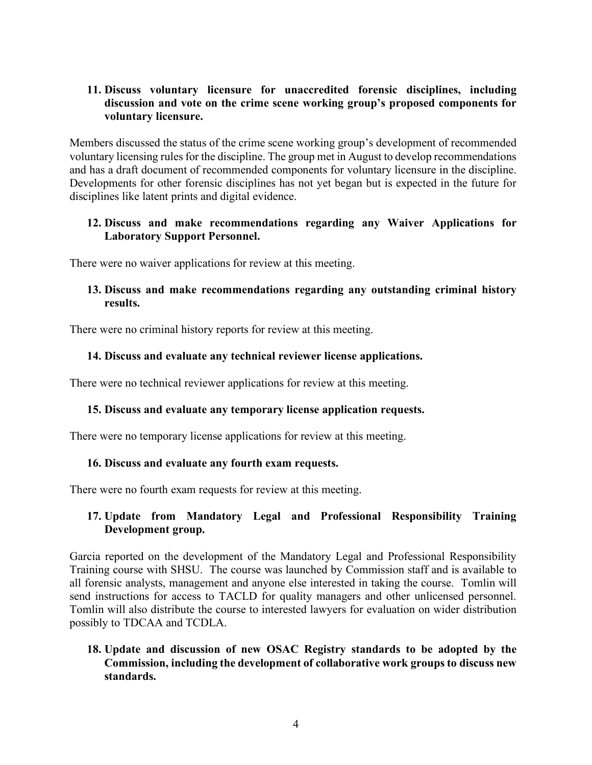### **11. Discuss voluntary licensure for unaccredited forensic disciplines, including discussion and vote on the crime scene working group's proposed components for voluntary licensure.**

Members discussed the status of the crime scene working group's development of recommended voluntary licensing rules for the discipline. The group met in August to develop recommendations and has a draft document of recommended components for voluntary licensure in the discipline. Developments for other forensic disciplines has not yet began but is expected in the future for disciplines like latent prints and digital evidence.

# **12. Discuss and make recommendations regarding any Waiver Applications for Laboratory Support Personnel.**

There were no waiver applications for review at this meeting.

## **13. Discuss and make recommendations regarding any outstanding criminal history results.**

There were no criminal history reports for review at this meeting.

# **14. Discuss and evaluate any technical reviewer license applications.**

There were no technical reviewer applications for review at this meeting.

### **15. Discuss and evaluate any temporary license application requests.**

There were no temporary license applications for review at this meeting.

### **16. Discuss and evaluate any fourth exam requests.**

There were no fourth exam requests for review at this meeting.

# **17. Update from Mandatory Legal and Professional Responsibility Training Development group.**

Garcia reported on the development of the Mandatory Legal and Professional Responsibility Training course with SHSU. The course was launched by Commission staff and is available to all forensic analysts, management and anyone else interested in taking the course. Tomlin will send instructions for access to TACLD for quality managers and other unlicensed personnel. Tomlin will also distribute the course to interested lawyers for evaluation on wider distribution possibly to TDCAA and TCDLA.

# **18. Update and discussion of new OSAC Registry standards to be adopted by the Commission, including the development of collaborative work groups to discuss new standards.**